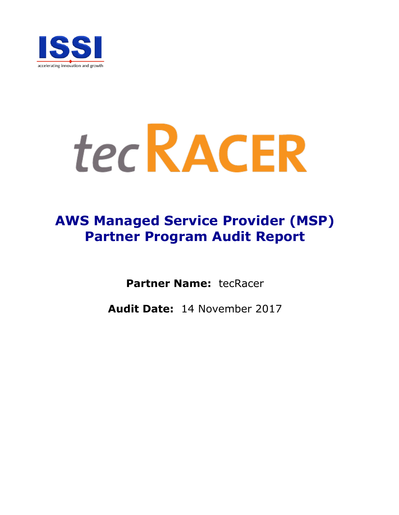

# tec RACER

# **AWS Managed Service Provider (MSP) Partner Program Audit Report**

**Partner Name:** tecRacer

**Audit Date:** 14 November 2017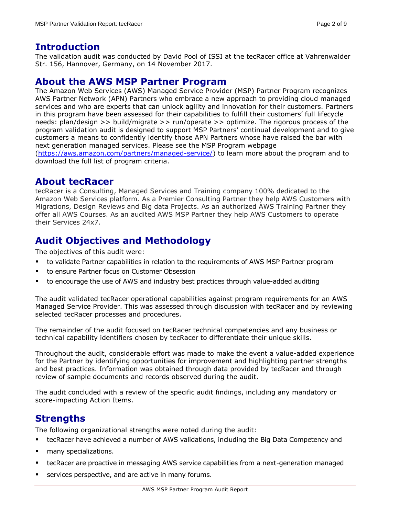#### **Introduction**

The validation audit was conducted by David Pool of ISSI at the tecRacer office at Vahrenwalder Str. 156, Hannover, Germany, on 14 November 2017.

#### **About the AWS MSP Partner Program**

The Amazon Web Services (AWS) Managed Service Provider (MSP) Partner Program recognizes AWS Partner Network (APN) Partners who embrace a new approach to providing cloud managed services and who are experts that can unlock agility and innovation for their customers. Partners in this program have been assessed for their capabilities to fulfill their customers' full lifecycle needs: plan/design >> build/migrate >> run/operate >> optimize. The rigorous process of the program validation audit is designed to support MSP Partners' continual development and to give customers a means to confidently identify those APN Partners whose have raised the bar with next generation managed services. Please see the MSP Program webpage [\(https://aws.amazon.com/partners/managed-service/\)](https://aws.amazon.com/partners/managed-service/) to learn more about the program and to download the full list of program criteria.

#### **About tecRacer**

tecRacer is a Consulting, Managed Services and Training company 100% dedicated to the Amazon Web Services platform. As a Premier Consulting Partner they help AWS Customers with Migrations, Design Reviews and Big data Projects. As an authorized AWS Training Partner they offer all AWS Courses. As an audited AWS MSP Partner they help AWS Customers to operate their Services 24x7.

# **Audit Objectives and Methodology**

The objectives of this audit were:

- to validate Partner capabilities in relation to the requirements of AWS MSP Partner program
- to ensure Partner focus on Customer Obsession
- to encourage the use of AWS and industry best practices through value-added auditing

The audit validated tecRacer operational capabilities against program requirements for an AWS Managed Service Provider. This was assessed through discussion with tecRacer and by reviewing selected tecRacer processes and procedures.

The remainder of the audit focused on tecRacer technical competencies and any business or technical capability identifiers chosen by tecRacer to differentiate their unique skills.

Throughout the audit, considerable effort was made to make the event a value-added experience for the Partner by identifying opportunities for improvement and highlighting partner strengths and best practices. Information was obtained through data provided by tecRacer and through review of sample documents and records observed during the audit.

The audit concluded with a review of the specific audit findings, including any mandatory or score-impacting Action Items.

## **Strengths**

The following organizational strengths were noted during the audit:

- tecRacer have achieved a number of AWS validations, including the Big Data Competency and
- **n** many specializations.
- tecRacer are proactive in messaging AWS service capabilities from a next-generation managed
- **services perspective, and are active in many forums.**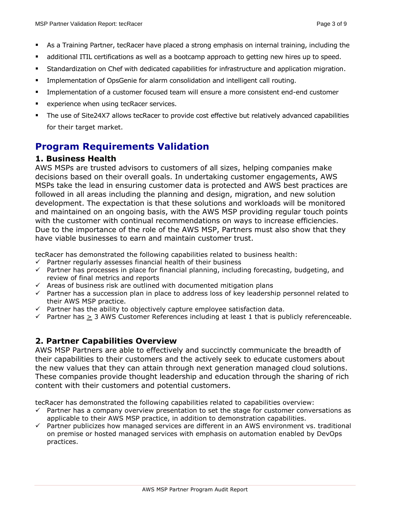- As a Training Partner, tecRacer have placed a strong emphasis on internal training, including the
- additional ITIL certifications as well as a bootcamp approach to getting new hires up to speed.
- Standardization on Chef with dedicated capabilities for infrastructure and application migration.
- **Implementation of OpsGenie for alarm consolidation and intelligent call routing.**
- **IMPLEM** Implementation of a customer focused team will ensure a more consistent end-end customer
- experience when using tecRacer services.
- The use of Site24X7 allows tecRacer to provide cost effective but relatively advanced capabilities for their target market.

### **Program Requirements Validation**

#### **1. Business Health**

AWS MSPs are trusted advisors to customers of all sizes, helping companies make decisions based on their overall goals. In undertaking customer engagements, AWS MSPs take the lead in ensuring customer data is protected and AWS best practices are followed in all areas including the planning and design, migration, and new solution development. The expectation is that these solutions and workloads will be monitored and maintained on an ongoing basis, with the AWS MSP providing regular touch points with the customer with continual recommendations on ways to increase efficiencies. Due to the importance of the role of the AWS MSP, Partners must also show that they have viable businesses to earn and maintain customer trust.

tecRacer has demonstrated the following capabilities related to business health:

- $\checkmark$  Partner regularly assesses financial health of their business
- $\checkmark$  Partner has processes in place for financial planning, including forecasting, budgeting, and review of final metrics and reports
- $\checkmark$  Areas of business risk are outlined with documented mitigation plans
- $\checkmark$  Partner has a succession plan in place to address loss of key leadership personnel related to their AWS MSP practice.
- $\checkmark$  Partner has the ability to objectively capture employee satisfaction data.
- $\checkmark$  Partner has  $\geq 3$  AWS Customer References including at least 1 that is publicly referenceable.

#### **2. Partner Capabilities Overview**

AWS MSP Partners are able to effectively and succinctly communicate the breadth of their capabilities to their customers and the actively seek to educate customers about the new values that they can attain through next generation managed cloud solutions. These companies provide thought leadership and education through the sharing of rich content with their customers and potential customers.

tecRacer has demonstrated the following capabilities related to capabilities overview:

- $\checkmark$  Partner has a company overview presentation to set the stage for customer conversations as applicable to their AWS MSP practice, in addition to demonstration capabilities.
- $\checkmark$  Partner publicizes how managed services are different in an AWS environment vs. traditional on premise or hosted managed services with emphasis on automation enabled by DevOps practices.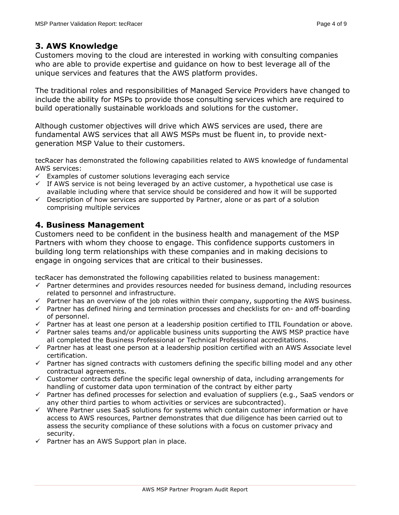#### **3. AWS Knowledge**

Customers moving to the cloud are interested in working with consulting companies who are able to provide expertise and guidance on how to best leverage all of the unique services and features that the AWS platform provides.

The traditional roles and responsibilities of Managed Service Providers have changed to include the ability for MSPs to provide those consulting services which are required to build operationally sustainable workloads and solutions for the customer.

Although customer objectives will drive which AWS services are used, there are fundamental AWS services that all AWS MSPs must be fluent in, to provide nextgeneration MSP Value to their customers.

tecRacer has demonstrated the following capabilities related to AWS knowledge of fundamental AWS services:

- $\checkmark$  Examples of customer solutions leveraging each service
- $\checkmark$  If AWS service is not being leveraged by an active customer, a hypothetical use case is available including where that service should be considered and how it will be supported
- $\checkmark$  Description of how services are supported by Partner, alone or as part of a solution comprising multiple services

#### **4. Business Management**

Customers need to be confident in the business health and management of the MSP Partners with whom they choose to engage. This confidence supports customers in building long term relationships with these companies and in making decisions to engage in ongoing services that are critical to their businesses.

tecRacer has demonstrated the following capabilities related to business management:

- $\checkmark$  Partner determines and provides resources needed for business demand, including resources related to personnel and infrastructure.
- $\checkmark$  Partner has an overview of the job roles within their company, supporting the AWS business.
- $\checkmark$  Partner has defined hiring and termination processes and checklists for on- and off-boarding of personnel.
- $\checkmark$  Partner has at least one person at a leadership position certified to ITIL Foundation or above.
- $\checkmark$  Partner sales teams and/or applicable business units supporting the AWS MSP practice have all completed the Business Professional or Technical Professional accreditations.
- $\checkmark$  Partner has at least one person at a leadership position certified with an AWS Associate level certification.
- $\checkmark$  Partner has signed contracts with customers defining the specific billing model and any other contractual agreements.
- $\checkmark$  Customer contracts define the specific legal ownership of data, including arrangements for handling of customer data upon termination of the contract by either party
- $\checkmark$  Partner has defined processes for selection and evaluation of suppliers (e.g., SaaS vendors or any other third parties to whom activities or services are subcontracted).
- $\checkmark$  Where Partner uses SaaS solutions for systems which contain customer information or have access to AWS resources, Partner demonstrates that due diligence has been carried out to assess the security compliance of these solutions with a focus on customer privacy and security.
- $\checkmark$  Partner has an AWS Support plan in place.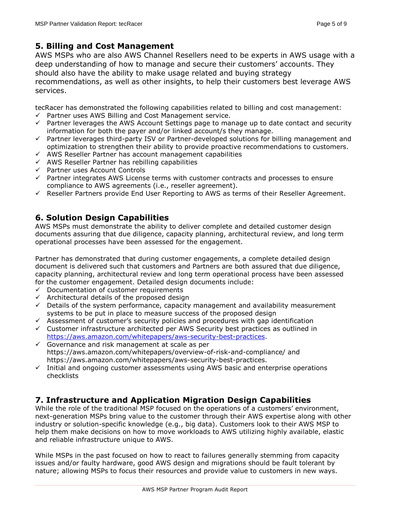#### **5. Billing and Cost Management**

AWS MSPs who are also AWS Channel Resellers need to be experts in AWS usage with a deep understanding of how to manage and secure their customers' accounts. They should also have the ability to make usage related and buying strategy recommendations, as well as other insights, to help their customers best leverage AWS services.

tecRacer has demonstrated the following capabilities related to billing and cost management:  $\checkmark$  Partner uses AWS Billing and Cost Management service.

- $\checkmark$  Partner leverages the AWS Account Settings page to manage up to date contact and security information for both the payer and/or linked account/s they manage.
- $\checkmark$  Partner leverages third-party ISV or Partner-developed solutions for billing management and optimization to strengthen their ability to provide proactive recommendations to customers.
- $\checkmark$  AWS Reseller Partner has account management capabilities
- $\checkmark$  AWS Reseller Partner has rebilling capabilities
- $\checkmark$  Partner uses Account Controls
- $\checkmark$  Partner integrates AWS License terms with customer contracts and processes to ensure compliance to AWS agreements (i.e., reseller agreement).
- $\checkmark$  Reseller Partners provide End User Reporting to AWS as terms of their Reseller Agreement.

#### **6. Solution Design Capabilities**

AWS MSPs must demonstrate the ability to deliver complete and detailed customer design documents assuring that due diligence, capacity planning, architectural review, and long term operational processes have been assessed for the engagement.

Partner has demonstrated that during customer engagements, a complete detailed design document is delivered such that customers and Partners are both assured that due diligence, capacity planning, architectural review and long term operational process have been assessed for the customer engagement. Detailed design documents include:

- $\checkmark$  Documentation of customer requirements
- $\checkmark$  Architectural details of the proposed design
- $\checkmark$  Details of the system performance, capacity management and availability measurement systems to be put in place to measure success of the proposed design
- $\checkmark$  Assessment of customer's security policies and procedures with gap identification
- $\checkmark$  Customer infrastructure architected per AWS Security best practices as outlined in [https://aws.amazon.com/whitepapers/aws-security-best-practices.](https://aws.amazon.com/whitepapers/aws-security-best-practices)
- $\checkmark$  Governance and risk management at scale as per https://aws.amazon.com/whitepapers/overview-of-risk-and-compliance/ and https://aws.amazon.com/whitepapers/aws-security-best-practices.
- $\checkmark$  Initial and ongoing customer assessments using AWS basic and enterprise operations checklists

#### **7. Infrastructure and Application Migration Design Capabilities**

While the role of the traditional MSP focused on the operations of a customers' environment, next-generation MSPs bring value to the customer through their AWS expertise along with other industry or solution-specific knowledge (e.g., big data). Customers look to their AWS MSP to help them make decisions on how to move workloads to AWS utilizing highly available, elastic and reliable infrastructure unique to AWS.

While MSPs in the past focused on how to react to failures generally stemming from capacity issues and/or faulty hardware, good AWS design and migrations should be fault tolerant by nature; allowing MSPs to focus their resources and provide value to customers in new ways.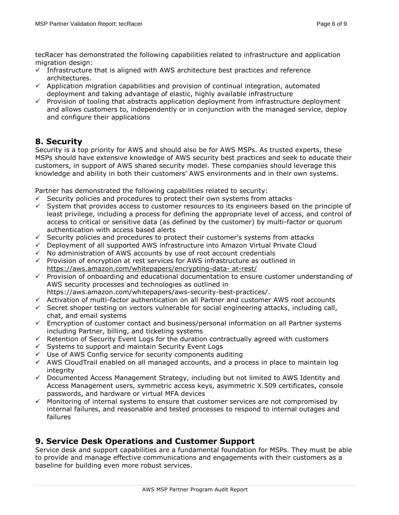tecRacer has demonstrated the following capabilities related to infrastructure and application migration design:

- $\checkmark$  Infrastructure that is aligned with AWS architecture best practices and reference architectures.
- $\checkmark$  Application migration capabilities and provision of continual integration, automated deployment and taking advantage of elastic, highly available infrastructure
- $\checkmark$  Provision of tooling that abstracts application deployment from infrastructure deployment and allows customers to, independently or in conjunction with the managed service, deploy and configure their applications

#### **8. Security**

Security is a top priority for AWS and should also be for AWS MSPs. As trusted experts, these MSPs should have extensive knowledge of AWS security best practices and seek to educate their customers, in support of AWS shared security model. These companies should leverage this knowledge and ability in both their customers' AWS environments and in their own systems.

Partner has demonstrated the following capabilities related to security:

- $\checkmark$  Security policies and procedures to protect their own systems from attacks
- $\checkmark$  System that provides access to customer resources to its engineers based on the principle of least privilege, including a process for defining the appropriate level of access, and control of access to critical or sensitive data (as defined by the customer) by multi-factor or quorum authentication with access based alerts
- $\checkmark$  Security policies and procedures to protect their customer's systems from attacks
- $\checkmark$  Deployment of all supported AWS infrastructure into Amazon Virtual Private Cloud
- $\checkmark$  No administration of AWS accounts by use of root account credentials
- $\checkmark$  Provision of encryption at rest services for AWS infrastructure as outlined in [https://aws.amazon.com/whitepapers/encrypting-data-](https://aws.amazon.com/whitepapers/encrypting-data-%20at-rest/) at-rest/
- $\checkmark$  Provision of onboarding and educational documentation to ensure customer understanding of AWS security processes and technologies as outlined in https://aws.amazon.com/whitepapers/aws-security-best-practices/.
- $\checkmark$  Activation of multi-factor authentication on all Partner and customer AWS root accounts
- $\checkmark$  Secret shoper testing on vectors vulnerable for social engineering attacks, including call, chat, and email systems
- $\checkmark$  Emcryption of customer contact and business/personal information on all Partner systems including Partner, billing, and ticketing systems
- $\checkmark$  Retention of Security Event Logs for the duration contractually agreed with customers
- $\checkmark$  Systems to support and maintain Security Event Logs
- $\checkmark$  Use of AWS Config service for security components auditing
- $\checkmark$  AWS CloudTrail enabled on all managed accounts, and a process in place to maintain log integrity
- $\checkmark$  Documented Access Management Strategy, including but not limited to AWS Identity and Access Management users, symmetric access keys, asymmetric X.509 certificates, console passwords, and hardware or virtual MFA devices
- $\checkmark$  Monitoring of internal systems to ensure that customer services are not compromised by internal failures, and reasonable and tested processes to respond to internal outages and failures

#### **9. Service Desk Operations and Customer Support**

Service desk and support capabilities are a fundamental foundation for MSPs. They must be able to provide and manage effective communications and engagements with their customers as a baseline for building even more robust services.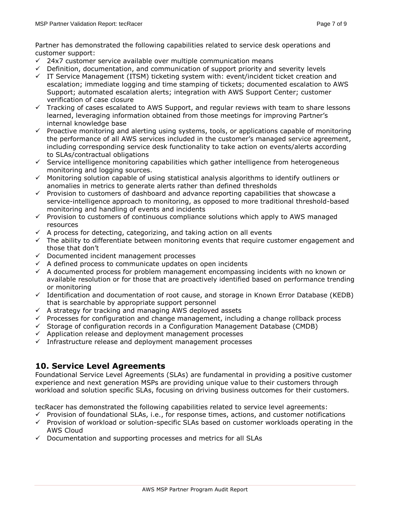Partner has demonstrated the following capabilities related to service desk operations and customer support:

- $\checkmark$  24x7 customer service available over multiple communication means
- $\checkmark$  Definition, documentation, and communication of support priority and severity levels
- $\checkmark$  IT Service Management (ITSM) ticketing system with: event/incident ticket creation and escalation; immediate logging and time stamping of tickets; documented escalation to AWS Support; automated escalation alerts; integration with AWS Support Center; customer verification of case closure
- $\checkmark$  Tracking of cases escalated to AWS Support, and regular reviews with team to share lessons learned, leveraging information obtained from those meetings for improving Partner's internal knowledge base
- $\checkmark$  Proactive monitoring and alerting using systems, tools, or applications capable of monitoring the performance of all AWS services included in the customer's managed service agreement, including corresponding service desk functionality to take action on events/alerts according to SLAs/contractual obligations
- $\checkmark$  Service intelligence monitoring capabilities which gather intelligence from heterogeneous monitoring and logging sources.
- $\checkmark$  Monitoring solution capable of using statistical analysis algorithms to identify outliners or anomalies in metrics to generate alerts rather than defined thresholds
- $\checkmark$  Provision to customers of dashboard and advance reporting capabilities that showcase a service-intelligence approach to monitoring, as opposed to more traditional threshold-based monitoring and handling of events and incidents
- $\checkmark$  Provision to customers of continuous compliance solutions which apply to AWS managed resources
- $\checkmark$  A process for detecting, categorizing, and taking action on all events
- $\checkmark$  The ability to differentiate between monitoring events that require customer engagement and those that don't
- $\checkmark$  Documented incident management processes
- $\checkmark$  A defined process to communicate updates on open incidents
- $\checkmark$  A documented process for problem management encompassing incidents with no known or available resolution or for those that are proactively identified based on performance trending or monitoring
- $\checkmark$  Identification and documentation of root cause, and storage in Known Error Database (KEDB) that is searchable by appropriate support personnel
- $\checkmark$  A strategy for tracking and managing AWS deployed assets
- $\checkmark$  Processes for configuration and change management, including a change rollback process
- $\checkmark$  Storage of configuration records in a Configuration Management Database (CMDB)
- $\checkmark$  Application release and deployment management processes
- $\checkmark$  Infrastructure release and deployment management processes

#### **10. Service Level Agreements**

Foundational Service Level Agreements (SLAs) are fundamental in providing a positive customer experience and next generation MSPs are providing unique value to their customers through workload and solution specific SLAs, focusing on driving business outcomes for their customers.

tecRacer has demonstrated the following capabilities related to service level agreements:

- $\checkmark$  Provision of foundational SLAs, i.e., for response times, actions, and customer notifications  $\checkmark$  Provision of workload or solution-specific SLAs based on customer workloads operating in the AWS Cloud
- $\checkmark$  Documentation and supporting processes and metrics for all SLAs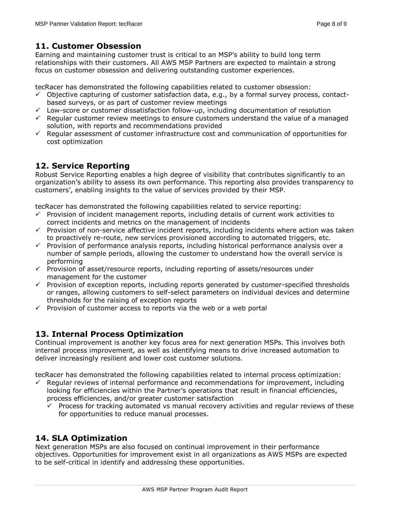#### **11. Customer Obsession**

Earning and maintaining customer trust is critical to an MSP's ability to build long term relationships with their customers. All AWS MSP Partners are expected to maintain a strong focus on customer obsession and delivering outstanding customer experiences.

tecRacer has demonstrated the following capabilities related to customer obsession:

- $\checkmark$  Objective capturing of customer satisfaction data, e.g., by a formal survey process, contactbased surveys, or as part of customer review meetings
- $\checkmark$  Low-score or customer dissatisfaction follow-up, including documentation of resolution
- $\checkmark$  Regular customer review meetings to ensure customers understand the value of a managed solution, with reports and recommendations provided
- $\checkmark$  Reqular assessment of customer infrastructure cost and communication of opportunities for cost optimization

#### **12. Service Reporting**

Robust Service Reporting enables a high degree of visibility that contributes significantly to an organization's ability to assess its own performance. This reporting also provides transparency to customers', enabling insights to the value of services provided by their MSP.

tecRacer has demonstrated the following capabilities related to service reporting:

- $\checkmark$  Provision of incident management reports, including details of current work activities to correct incidents and metrics on the management of incidents
- $\checkmark$  Provision of non-service affective incident reports, including incidents where action was taken to proactively re-route, new services provisioned according to automated triggers, etc.
- $\checkmark$  Provision of performance analysis reports, including historical performance analysis over a number of sample periods, allowing the customer to understand how the overall service is performing
- $\checkmark$  Provision of asset/resource reports, including reporting of assets/resources under management for the customer
- $\checkmark$  Provision of exception reports, including reports generated by customer-specified thresholds or ranges, allowing customers to self-select parameters on individual devices and determine thresholds for the raising of exception reports
- $\checkmark$  Provision of customer access to reports via the web or a web portal

#### **13. Internal Process Optimization**

Continual improvement is another key focus area for next generation MSPs. This involves both internal process improvement, as well as identifying means to drive increased automation to deliver increasingly resilient and lower cost customer solutions.

tecRacer has demonstrated the following capabilities related to internal process optimization:

- Regular reviews of internal performance and recommendations for improvement, including looking for efficiencies within the Partner's operations that result in financial efficiencies, process efficiencies, and/or greater customer satisfaction
	- $\checkmark$  Process for tracking automated vs manual recovery activities and regular reviews of these for opportunities to reduce manual processes.

#### **14. SLA Optimization**

Next generation MSPs are also focused on continual improvement in their performance objectives. Opportunities for improvement exist in all organizations as AWS MSPs are expected to be self-critical in identify and addressing these opportunities.